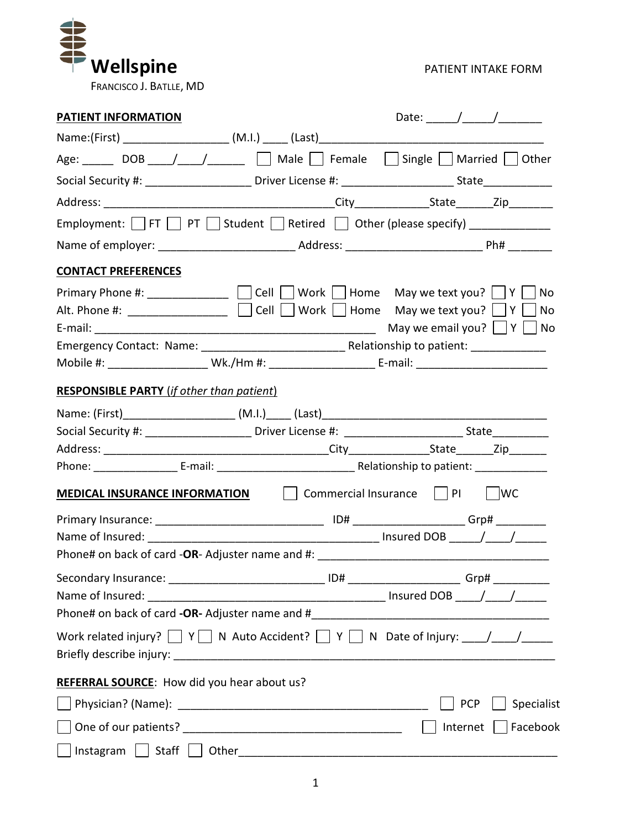

| <b>PATIENT INFORMATION</b>                                                       | Date: $\frac{1}{\sqrt{1-\frac{1}{2}}}\frac{1}{\sqrt{1-\frac{1}{2}}}\frac{1}{\sqrt{1-\frac{1}{2}}}\frac{1}{\sqrt{1-\frac{1}{2}}}\frac{1}{\sqrt{1-\frac{1}{2}}}\frac{1}{\sqrt{1-\frac{1}{2}}}\frac{1}{\sqrt{1-\frac{1}{2}}}\frac{1}{\sqrt{1-\frac{1}{2}}}\frac{1}{\sqrt{1-\frac{1}{2}}}\frac{1}{\sqrt{1-\frac{1}{2}}}\frac{1}{\sqrt{1-\frac{1}{2}}}\frac{1}{\sqrt{1-\frac{1}{2}}}\frac{1}{\sqrt{1-\frac{1}{2}}}\frac{1}{\$ |  |  |  |  |  |  |
|----------------------------------------------------------------------------------|--------------------------------------------------------------------------------------------------------------------------------------------------------------------------------------------------------------------------------------------------------------------------------------------------------------------------------------------------------------------------------------------------------------------------|--|--|--|--|--|--|
|                                                                                  |                                                                                                                                                                                                                                                                                                                                                                                                                          |  |  |  |  |  |  |
|                                                                                  | Age: ______ DOB ____/ ____/ ______ □ Male □ Female □ Single □ Married □ Other                                                                                                                                                                                                                                                                                                                                            |  |  |  |  |  |  |
|                                                                                  |                                                                                                                                                                                                                                                                                                                                                                                                                          |  |  |  |  |  |  |
|                                                                                  |                                                                                                                                                                                                                                                                                                                                                                                                                          |  |  |  |  |  |  |
| Employment: TFT TPT Student TRetired TO Other (please specify) _________________ |                                                                                                                                                                                                                                                                                                                                                                                                                          |  |  |  |  |  |  |
|                                                                                  |                                                                                                                                                                                                                                                                                                                                                                                                                          |  |  |  |  |  |  |
| <b>CONTACT PREFERENCES</b>                                                       |                                                                                                                                                                                                                                                                                                                                                                                                                          |  |  |  |  |  |  |
|                                                                                  | Primary Phone #: ______________ $\Box$ Cell $\Box$ Work $\Box$ Home May we text you? $\Box$ Y $\Box$ No<br>Alt. Phone #: _________________ $\Box$ Cell $\Box$ Work $\Box$ Home May we text you? $\Box$ Y $\Box$ No<br>May we email you? $\vert \vert Y \vert \vert$ No<br>Mobile #: ______________________ Wk./Hm #: ___________________________E-mail: ___________________________                                      |  |  |  |  |  |  |
| <b>RESPONSIBLE PARTY</b> (if other than patient)                                 |                                                                                                                                                                                                                                                                                                                                                                                                                          |  |  |  |  |  |  |
| Name: (First)_______________________(M.I.)_____ (Last)__________________________ |                                                                                                                                                                                                                                                                                                                                                                                                                          |  |  |  |  |  |  |
|                                                                                  |                                                                                                                                                                                                                                                                                                                                                                                                                          |  |  |  |  |  |  |
|                                                                                  |                                                                                                                                                                                                                                                                                                                                                                                                                          |  |  |  |  |  |  |
|                                                                                  |                                                                                                                                                                                                                                                                                                                                                                                                                          |  |  |  |  |  |  |
| <b>MEDICAL INSURANCE INFORMATION</b>                                             |                                                                                                                                                                                                                                                                                                                                                                                                                          |  |  |  |  |  |  |
|                                                                                  |                                                                                                                                                                                                                                                                                                                                                                                                                          |  |  |  |  |  |  |
|                                                                                  |                                                                                                                                                                                                                                                                                                                                                                                                                          |  |  |  |  |  |  |
|                                                                                  |                                                                                                                                                                                                                                                                                                                                                                                                                          |  |  |  |  |  |  |
|                                                                                  |                                                                                                                                                                                                                                                                                                                                                                                                                          |  |  |  |  |  |  |
|                                                                                  |                                                                                                                                                                                                                                                                                                                                                                                                                          |  |  |  |  |  |  |
|                                                                                  |                                                                                                                                                                                                                                                                                                                                                                                                                          |  |  |  |  |  |  |
|                                                                                  | Work related injury? $\Box Y \Box N$ Auto Accident? $\Box Y \Box N$ Date of Injury: $\Box / \Box / \Box$                                                                                                                                                                                                                                                                                                                 |  |  |  |  |  |  |
| REFERRAL SOURCE: How did you hear about us?                                      |                                                                                                                                                                                                                                                                                                                                                                                                                          |  |  |  |  |  |  |
|                                                                                  | Specialist<br><b>PCP</b>                                                                                                                                                                                                                                                                                                                                                                                                 |  |  |  |  |  |  |
|                                                                                  | Internet   Facebook                                                                                                                                                                                                                                                                                                                                                                                                      |  |  |  |  |  |  |
|                                                                                  |                                                                                                                                                                                                                                                                                                                                                                                                                          |  |  |  |  |  |  |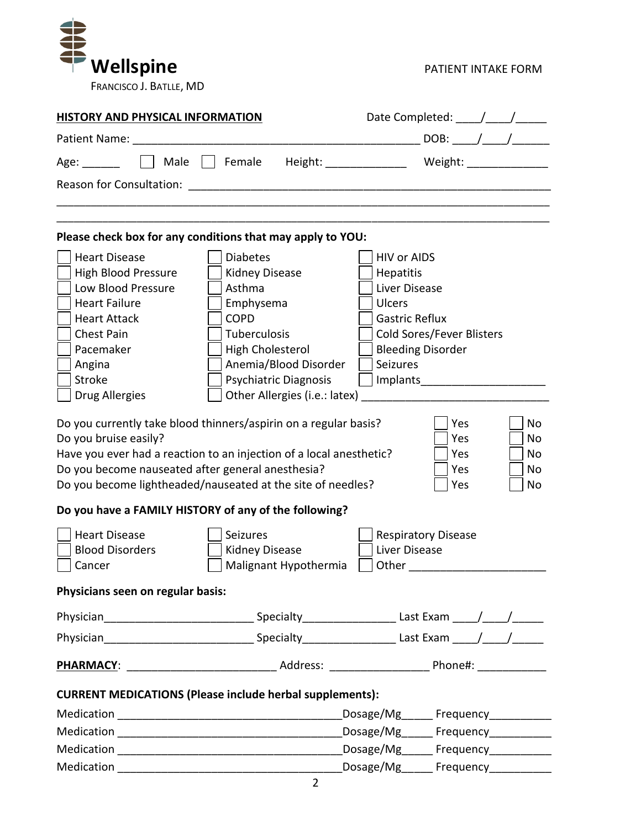

| <b>HISTORY AND PHYSICAL INFORMATION</b>                                                                                                                                                                                         |                                                                                                                                                                                                                                                                                                                                                         |                                                                                                                                                                                                        |  |  |  |
|---------------------------------------------------------------------------------------------------------------------------------------------------------------------------------------------------------------------------------|---------------------------------------------------------------------------------------------------------------------------------------------------------------------------------------------------------------------------------------------------------------------------------------------------------------------------------------------------------|--------------------------------------------------------------------------------------------------------------------------------------------------------------------------------------------------------|--|--|--|
|                                                                                                                                                                                                                                 |                                                                                                                                                                                                                                                                                                                                                         | DOB: ____/ ____/ ___                                                                                                                                                                                   |  |  |  |
| Age:                                                                                                                                                                                                                            |                                                                                                                                                                                                                                                                                                                                                         | Male   Female Height: _____________ Weight: _____________                                                                                                                                              |  |  |  |
|                                                                                                                                                                                                                                 | Reason for Consultation: The Consultation of the Consultation of the Consultation of the Consultation of the C                                                                                                                                                                                                                                          |                                                                                                                                                                                                        |  |  |  |
|                                                                                                                                                                                                                                 |                                                                                                                                                                                                                                                                                                                                                         |                                                                                                                                                                                                        |  |  |  |
|                                                                                                                                                                                                                                 | Please check box for any conditions that may apply to YOU:                                                                                                                                                                                                                                                                                              |                                                                                                                                                                                                        |  |  |  |
| <b>Heart Disease</b><br><b>High Blood Pressure</b><br>Low Blood Pressure<br><b>Heart Failure</b><br><b>Heart Attack</b><br><b>Chest Pain</b><br>Pacemaker<br>Angina<br>Stroke<br><b>Drug Allergies</b><br>Do you bruise easily? | <b>Diabetes</b><br><b>Kidney Disease</b><br>Asthma<br>Emphysema<br><b>COPD</b><br>Tuberculosis<br>High Cholesterol<br>Anemia/Blood Disorder<br><b>Psychiatric Diagnosis</b><br>Other Allergies (i.e.: latex)<br>Do you currently take blood thinners/aspirin on a regular basis?<br>Have you ever had a reaction to an injection of a local anesthetic? | <b>HIV or AIDS</b><br>Hepatitis<br>Liver Disease<br><b>Ulcers</b><br><b>Gastric Reflux</b><br>Cold Sores/Fever Blisters<br><b>Bleeding Disorder</b><br>Seizures<br>Yes<br>No<br>Yes<br>No<br>Yes<br>No |  |  |  |
| Do you become nauseated after general anesthesia?                                                                                                                                                                               | Do you become lightheaded/nauseated at the site of needles?                                                                                                                                                                                                                                                                                             | Yes<br>No<br>Yes<br>No                                                                                                                                                                                 |  |  |  |
|                                                                                                                                                                                                                                 | Do you have a FAMILY HISTORY of any of the following?                                                                                                                                                                                                                                                                                                   |                                                                                                                                                                                                        |  |  |  |
| <b>Heart Disease</b><br><b>Blood Disorders</b><br>Cancer<br>Physicians seen on regular basis:                                                                                                                                   | Seizures<br><b>Kidney Disease</b><br>Malignant Hypothermia                                                                                                                                                                                                                                                                                              | <b>Respiratory Disease</b><br>Liver Disease<br>Other                                                                                                                                                   |  |  |  |
|                                                                                                                                                                                                                                 |                                                                                                                                                                                                                                                                                                                                                         |                                                                                                                                                                                                        |  |  |  |
|                                                                                                                                                                                                                                 |                                                                                                                                                                                                                                                                                                                                                         |                                                                                                                                                                                                        |  |  |  |
|                                                                                                                                                                                                                                 |                                                                                                                                                                                                                                                                                                                                                         |                                                                                                                                                                                                        |  |  |  |
|                                                                                                                                                                                                                                 | <b>CURRENT MEDICATIONS (Please include herbal supplements):</b>                                                                                                                                                                                                                                                                                         |                                                                                                                                                                                                        |  |  |  |
|                                                                                                                                                                                                                                 |                                                                                                                                                                                                                                                                                                                                                         | _Dosage/Mg______ Frequency____________                                                                                                                                                                 |  |  |  |
|                                                                                                                                                                                                                                 |                                                                                                                                                                                                                                                                                                                                                         |                                                                                                                                                                                                        |  |  |  |
|                                                                                                                                                                                                                                 |                                                                                                                                                                                                                                                                                                                                                         |                                                                                                                                                                                                        |  |  |  |
|                                                                                                                                                                                                                                 |                                                                                                                                                                                                                                                                                                                                                         | Dosage/Mg <sub>_______</sub> Frequency____________                                                                                                                                                     |  |  |  |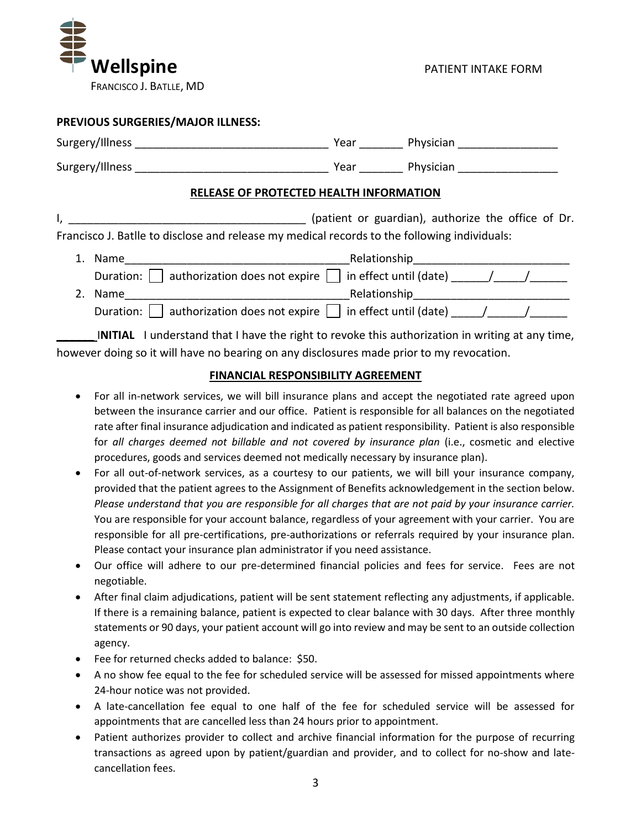

|                                         | PREVIOUS SURGERIES/MAJOR ILLNESS:                                                            |  |                                                    |  |  |  |  |  |
|-----------------------------------------|----------------------------------------------------------------------------------------------|--|----------------------------------------------------|--|--|--|--|--|
|                                         |                                                                                              |  | Year Physician                                     |  |  |  |  |  |
|                                         |                                                                                              |  | Year Physician                                     |  |  |  |  |  |
| RELEASE OF PROTECTED HEALTH INFORMATION |                                                                                              |  |                                                    |  |  |  |  |  |
|                                         | Francisco J. Batlle to disclose and release my medical records to the following individuals: |  | (patient or guardian), authorize the office of Dr. |  |  |  |  |  |
|                                         |                                                                                              |  |                                                    |  |  |  |  |  |
|                                         | Duration: $\Box$ authorization does not expire $\Box$ in effect until (date) _____/___/      |  |                                                    |  |  |  |  |  |
| 2.                                      | Name                                                                                         |  |                                                    |  |  |  |  |  |
|                                         | authorization does not expire $  \cdot  $ in effect until (date) $\sqrt{ }$<br>Duration:     |  |                                                    |  |  |  |  |  |

**INITIAL** I understand that I have the right to revoke this authorization in writing at any time, however doing so it will have no bearing on any disclosures made prior to my revocation.

## **FINANCIAL RESPONSIBILITY AGREEMENT**

- For all in-network services, we will bill insurance plans and accept the negotiated rate agreed upon between the insurance carrier and our office. Patient is responsible for all balances on the negotiated rate after final insurance adjudication and indicated as patient responsibility. Patient is also responsible for *all charges deemed not billable and not covered by insurance plan* (i.e., cosmetic and elective procedures, goods and services deemed not medically necessary by insurance plan).
- For all out-of-network services, as a courtesy to our patients, we will bill your insurance company, provided that the patient agrees to the Assignment of Benefits acknowledgement in the section below. *Please understand that you are responsible for all charges that are not paid by your insurance carrier.* You are responsible for your account balance, regardless of your agreement with your carrier. You are responsible for all pre-certifications, pre-authorizations or referrals required by your insurance plan. Please contact your insurance plan administrator if you need assistance.
- Our office will adhere to our pre-determined financial policies and fees for service. Fees are not negotiable.
- After final claim adjudications, patient will be sent statement reflecting any adjustments, if applicable. If there is a remaining balance, patient is expected to clear balance with 30 days. After three monthly statements or 90 days, your patient account will go into review and may be sent to an outside collection agency.
- Fee for returned checks added to balance: \$50.
- A no show fee equal to the fee for scheduled service will be assessed for missed appointments where 24-hour notice was not provided.
- A late-cancellation fee equal to one half of the fee for scheduled service will be assessed for appointments that are cancelled less than 24 hours prior to appointment.
- Patient authorizes provider to collect and archive financial information for the purpose of recurring transactions as agreed upon by patient/guardian and provider, and to collect for no-show and latecancellation fees.